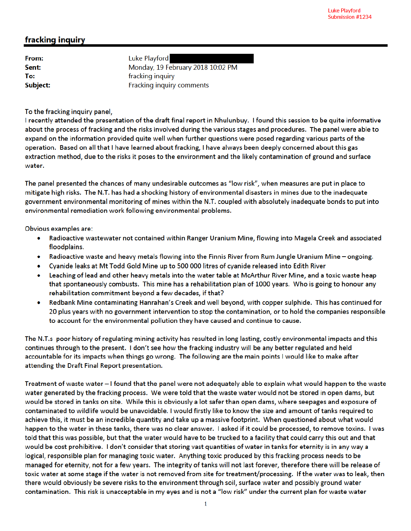## fracking inquiry

From: Sent: To: Subject:

Luke Playford Monday, 19 February 2018 10:02 PM fracking inquiry Fracking inquiry comments

To the fracking inquiry panel,

I recently attended the presentation of the draft final report in Nhulunbuy. I found this session to be quite informative about the process of fracking and the risks involved during the various stages and procedures. The panel were able to expand on the information provided quite well when further questions were posed regarding various parts of the operation. Based on all that I have learned about fracking, I have always been deeply concerned about this gas extraction method, due to the risks it poses to the environment and the likely contamination of ground and surface water.

The panel presented the chances of many undesirable outcomes as "low risk", when measures are put in place to mitigate high risks. The N.T. has had a shocking history of environmental disasters in mines due to the inadequate government environmental monitoring of mines within the N.T. coupled with absolutely inadequate bonds to put into environmental remediation work following environmental problems.

Obvious examples are:

- Radioactive wastewater not contained within Ranger Uranium Mine, flowing into Magela Creek and associated  $\bullet$ floodplains.
- Radioactive waste and heavy metals flowing into the Finnis River from Rum Jungle Uranium Mine ongoing.  $\bullet$
- Cyanide leaks at Mt Todd Gold Mine up to 500 000 litres of cyanide released into Edith River
- Leaching of lead and other heavy metals into the water table at McArthur River Mine, and a toxic waste heap that spontaneously combusts. This mine has a rehabilitation plan of 1000 years. Who is going to honour any rehabilitation commitment beyond a few decades, if that?
- Redbank Mine contaminating Hanrahan's Creek and well beyond, with copper sulphide. This has continued for ۰ 20 plus years with no government intervention to stop the contamination, or to hold the companies responsible to account for the environmental pollution they have caused and continue to cause.

The N.T.s poor history of regulating mining activity has resulted in long lasting, costly environmental impacts and this continues through to the present. I don't see how the fracking industry will be any better regulated and held accountable for its impacts when things go wrong. The following are the main points I would like to make after attending the Draft Final Report presentation.

Treatment of waste water – I found that the panel were not adequately able to explain what would happen to the waste water generated by the fracking process. We were told that the waste water would not be stored in open dams, but would be stored in tanks on site. While this is obviously a lot safer than open dams, where seepages and exposure of contaminated to wildlife would be unavoidable. I would firstly like to know the size and amount of tanks required to achieve this, it must be an incredible quantity and take up a massive footprint. When questioned about what would happen to the water in these tanks, there was no clear answer. I asked if it could be processed, to remove toxins. I was told that this was possible, but that the water would have to be trucked to a facility that could carry this out and that would be cost prohibitive. I don't consider that storing vast quantities of water in tanks for eternity is in any way a logical, responsible plan for managing toxic water. Anything toxic produced by this fracking process needs to be managed for eternity, not for a few years. The integrity of tanks will not last forever, therefore there will be release of toxic water at some stage if the water is not removed from site for treatment/processing. If the water was to leak, then there would obviously be severe risks to the environment through soil, surface water and possibly ground water contamination. This risk is unacceptable in my eyes and is not a "low risk" under the current plan for waste water